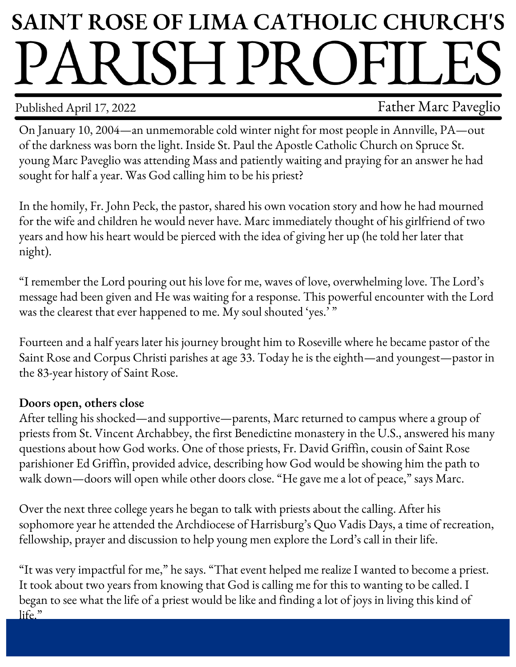## **SAINT ROSE OF LIMA CATHOLIC CHURCH'S** PARISH PROFILE

Published April 17, 2022 **Father Marc Paveglio** 

On January 10, 2004—an unmemorable cold winter night for most people in Annville, PA—out of the darkness was born the light. Inside St. Paul the Apostle Catholic Church on Spruce St. young Marc Paveglio was attending Mass and patiently waiting and praying for an answer he had sought for half a year. Was God calling him to be his priest?

In the homily, Fr. John Peck, the pastor, shared his own vocation story and how he had mourned for the wife and children he would never have. Marc immediately thought of his girlfriend of two years and how his heart would be pierced with the idea of giving her up (he told her later that night).

"I remember the Lord pouring out his love for me, waves of love, overwhelming love. The Lord's message had been given and He was waiting for a response. This powerful encounter with the Lord was the clearest that ever happened to me. My soul shouted 'yes.'"

Fourteen and a half years later his journey brought him to Roseville where he became pastor of the Saint Rose and Corpus Christi parishes at age 33. Today he is the eighth—and youngest—pastor in the 83-year history of Saint Rose.

## **Doors open, others close**

After telling his shocked—and supportive—parents, Marc returned to campus where a group of priests from St. Vincent Archabbey, the first Benedictine monastery in the U.S., answered his many questions about how God works. One of those priests, Fr. David Griffin, cousin of Saint Rose parishioner Ed Griffin, provided advice, describing how God would be showing him the path to walk down—doors will open while other doors close. "He gave me a lot of peace," says Marc.

Over the next three college years he began to talk with priests about the calling. After his sophomore year he attended the Archdiocese of Harrisburg's Quo Vadis Days, a time of recreation, fellowship, prayer and discussion to help young men explore the Lord's call in their life.

"It was very impactful for me," he says. "That event helped me realize I wanted to become a priest. It took about two years from knowing that God is calling me for this to wanting to be called. I began to see what the life of a priest would be like and finding a lot of joys in living this kind of life."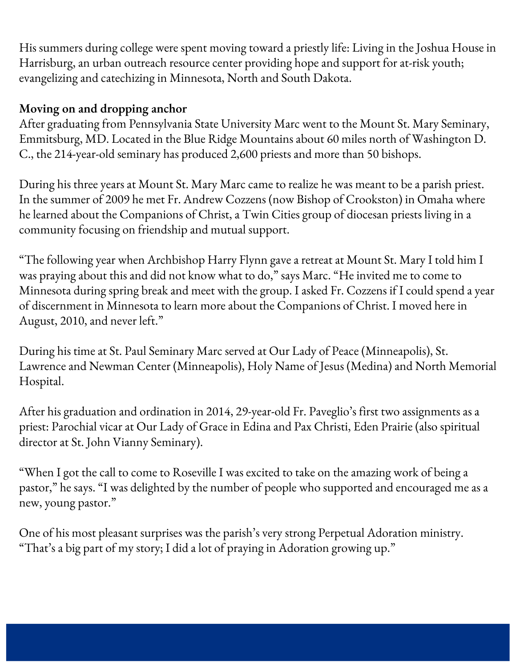His summers during college were spent moving toward a priestly life: Living in the Joshua House in Harrisburg, an urban outreach resource center providing hope and support for at-risk youth; evangelizing and catechizing in Minnesota, North and South Dakota.

## **Moving on and dropping anchor**

After graduating from Pennsylvania State University Marc went to the Mount St. Mary Seminary, Emmitsburg, MD. Located in the Blue Ridge Mountains about 60 miles north of Washington D. C., the 214-year-old seminary has produced 2,600 priests and more than 50 bishops.

During his three years at Mount St. Mary Marc came to realize he was meant to be a parish priest. In the summer of 2009 he met Fr. Andrew Cozzens (now Bishop of Crookston) in Omaha where he learned about the Companions of Christ, a Twin Cities group of diocesan priests living in a community focusing on friendship and mutual support.

"The following year when Archbishop Harry Flynn gave a retreat at Mount St. Mary I told him I was praying about this and did not know what to do," says Marc. "He invited me to come to Minnesota during spring break and meet with the group. I asked Fr. Cozzens if I could spend a year of discernment in Minnesota to learn more about the Companions of Christ. I moved here in August, 2010, and never left."

During his time at St. Paul Seminary Marc served at Our Lady of Peace (Minneapolis), St. Lawrence and Newman Center (Minneapolis), Holy Name of Jesus (Medina) and North Memorial Hospital.

After his graduation and ordination in 2014, 29-year-old Fr. Paveglio's first two assignments as a priest: Parochial vicar at Our Lady of Grace in Edina and Pax Christi, Eden Prairie (also spiritual director at St. John Vianny Seminary).

"When I got the call to come to Roseville I was excited to take on the amazing work of being a pastor," he says. "I was delighted by the number of people who supported and encouraged me as a new, young pastor."

One of his most pleasant surprises was the parish's very strong Perpetual Adoration ministry. "That's a big part of my story; I did a lot of praying in Adoration growing up."